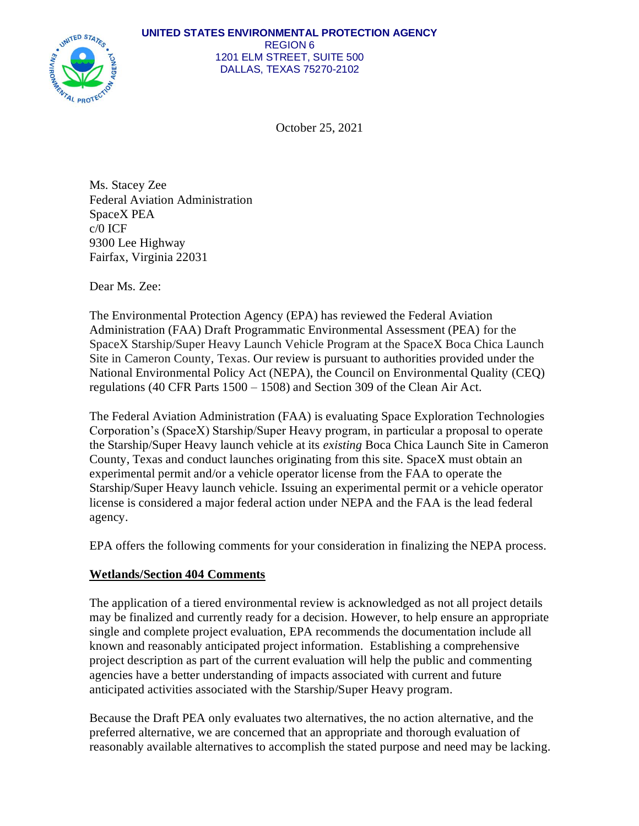

October 25, 2021

Ms. Stacey Zee Federal Aviation Administration SpaceX PEA c/0 ICF 9300 Lee Highway Fairfax, Virginia 22031

Dear Ms. Zee:

The Environmental Protection Agency (EPA) has reviewed the Federal Aviation Administration (FAA) Draft Programmatic Environmental Assessment (PEA) for the SpaceX Starship/Super Heavy Launch Vehicle Program at the SpaceX Boca Chica Launch Site in Cameron County, Texas. Our review is pursuant to authorities provided under the National Environmental Policy Act (NEPA), the Council on Environmental Quality (CEQ) regulations (40 CFR Parts 1500 – 1508) and Section 309 of the Clean Air Act.

The Federal Aviation Administration (FAA) is evaluating Space Exploration Technologies Corporation's (SpaceX) Starship/Super Heavy program, in particular a proposal to operate the Starship/Super Heavy launch vehicle at its *existing* Boca Chica Launch Site in Cameron County, Texas and conduct launches originating from this site. SpaceX must obtain an experimental permit and/or a vehicle operator license from the FAA to operate the Starship/Super Heavy launch vehicle. Issuing an experimental permit or a vehicle operator license is considered a major federal action under NEPA and the FAA is the lead federal agency.

EPA offers the following comments for your consideration in finalizing the NEPA process.

## **Wetlands/Section 404 Comments**

The application of a tiered environmental review is acknowledged as not all project details may be finalized and currently ready for a decision. However, to help ensure an appropriate single and complete project evaluation, EPA recommends the documentation include all known and reasonably anticipated project information. Establishing a comprehensive project description as part of the current evaluation will help the public and commenting agencies have a better understanding of impacts associated with current and future anticipated activities associated with the Starship/Super Heavy program.

Because the Draft PEA only evaluates two alternatives, the no action alternative, and the preferred alternative, we are concerned that an appropriate and thorough evaluation of reasonably available alternatives to accomplish the stated purpose and need may be lacking.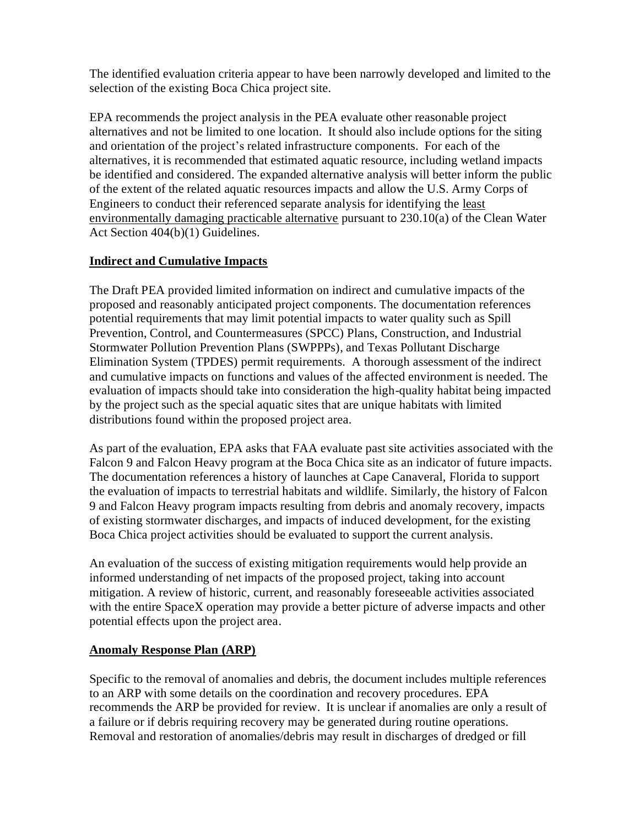The identified evaluation criteria appear to have been narrowly developed and limited to the selection of the existing Boca Chica project site.

EPA recommends the project analysis in the PEA evaluate other reasonable project alternatives and not be limited to one location. It should also include options for the siting and orientation of the project's related infrastructure components. For each of the alternatives, it is recommended that estimated aquatic resource, including wetland impacts be identified and considered. The expanded alternative analysis will better inform the public of the extent of the related aquatic resources impacts and allow the U.S. Army Corps of Engineers to conduct their referenced separate analysis for identifying the least environmentally damaging practicable alternative pursuant to 230.10(a) of the Clean Water Act Section 404(b)(1) Guidelines.

## **Indirect and Cumulative Impacts**

The Draft PEA provided limited information on indirect and cumulative impacts of the proposed and reasonably anticipated project components. The documentation references potential requirements that may limit potential impacts to water quality such as Spill Prevention, Control, and Countermeasures (SPCC) Plans, Construction, and Industrial Stormwater Pollution Prevention Plans (SWPPPs), and Texas Pollutant Discharge Elimination System (TPDES) permit requirements. A thorough assessment of the indirect and cumulative impacts on functions and values of the affected environment is needed. The evaluation of impacts should take into consideration the high-quality habitat being impacted by the project such as the special aquatic sites that are unique habitats with limited distributions found within the proposed project area.

As part of the evaluation, EPA asks that FAA evaluate past site activities associated with the Falcon 9 and Falcon Heavy program at the Boca Chica site as an indicator of future impacts. The documentation references a history of launches at Cape Canaveral, Florida to support the evaluation of impacts to terrestrial habitats and wildlife. Similarly, the history of Falcon 9 and Falcon Heavy program impacts resulting from debris and anomaly recovery, impacts of existing stormwater discharges, and impacts of induced development, for the existing Boca Chica project activities should be evaluated to support the current analysis.

An evaluation of the success of existing mitigation requirements would help provide an informed understanding of net impacts of the proposed project, taking into account mitigation. A review of historic, current, and reasonably foreseeable activities associated with the entire SpaceX operation may provide a better picture of adverse impacts and other potential effects upon the project area.

## **Anomaly Response Plan (ARP)**

Specific to the removal of anomalies and debris, the document includes multiple references to an ARP with some details on the coordination and recovery procedures. EPA recommends the ARP be provided for review. It is unclear if anomalies are only a result of a failure or if debris requiring recovery may be generated during routine operations. Removal and restoration of anomalies/debris may result in discharges of dredged or fill